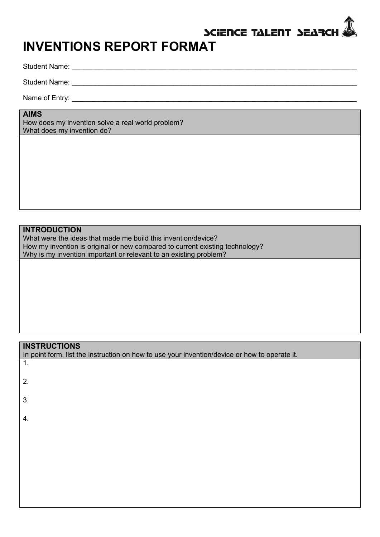# SCIENCE TALENT SEARCH

# **INVENTIONS REPORT FORMAT**

Student Name: \_\_\_\_\_\_\_\_\_\_\_\_\_\_\_\_\_\_\_\_\_\_\_\_\_\_\_\_\_\_\_\_\_\_\_\_\_\_\_\_\_\_\_\_\_\_\_\_\_\_\_\_\_\_\_\_\_\_\_\_\_\_\_\_\_\_\_\_\_\_\_\_\_

Student Name: \_\_\_\_\_\_\_\_\_\_\_\_\_\_\_\_\_\_\_\_\_\_\_\_\_\_\_\_\_\_\_\_\_\_\_\_\_\_\_\_\_\_\_\_\_\_\_\_\_\_\_\_\_\_\_\_\_\_\_\_\_\_\_\_\_\_\_\_\_\_\_\_\_

Name of Entry: **with a set of the set of the set of the set of the set of the set of the set of the set of the set of the set of the set of the set of the set of the set of the set of the set of the set of the set of the s** 

#### **AIMS**

How does my invention solve a real world problem? What does my invention do?

### **INTRODUCTION**

What were the ideas that made me build this invention/device? How my invention is original or new compared to current existing technology? Why is my invention important or relevant to an existing problem?

## **INSTRUCTIONS**

| In point form, list the instruction on how to use your invention/device or how to operate it. |
|-----------------------------------------------------------------------------------------------|
| 1.                                                                                            |
| 2.                                                                                            |
|                                                                                               |
| 3.                                                                                            |
| 4.                                                                                            |
|                                                                                               |
|                                                                                               |
|                                                                                               |
|                                                                                               |
|                                                                                               |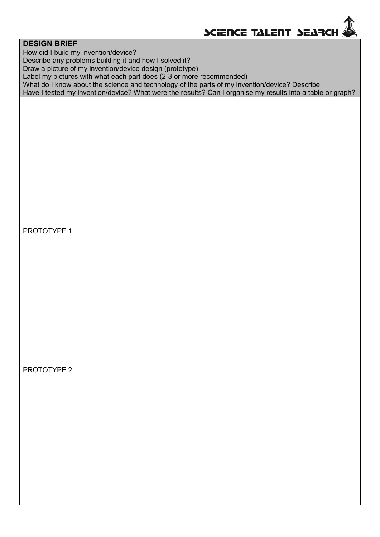

#### **DESIGN BRIEF**

How did I build my invention/device?

Describe any problems building it and how I solved it?

Draw a picture of my invention/device design (prototype)

Label my pictures with what each part does (2-3 or more recommended)

What do I know about the science and technology of the parts of my invention/device? Describe.

Have I tested my invention/device? What were the results? Can I organise my results into a table or graph?

### PROTOTYPE 1

PROTOTYPE 2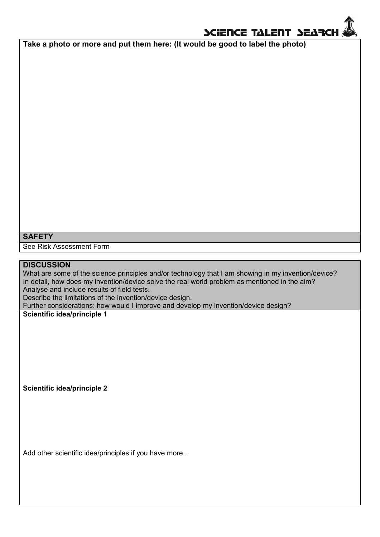

**Take a photo or more and put them here: (It would be good to label the photo)**

## **SAFETY**

See Risk Assessment Form

#### **DISCUSSION**

What are some of the science principles and/or technology that I am showing in my invention/device? In detail, how does my invention/device solve the real world problem as mentioned in the aim? Analyse and include results of field tests.

Describe the limitations of the invention/device design.

Further considerations: how would I improve and develop my invention/device design?

**Scientific idea/principle 1**

**Scientific idea/principle 2**

Add other scientific idea/principles if you have more...